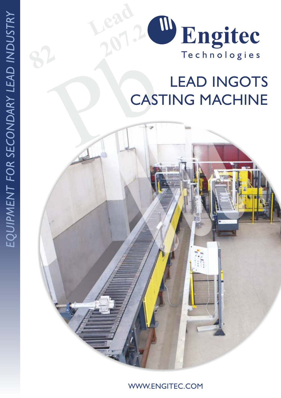

# Pb LEAD INGOTS CASTING MACHINE

*USTRY*

WWW.ENGITEC.COM